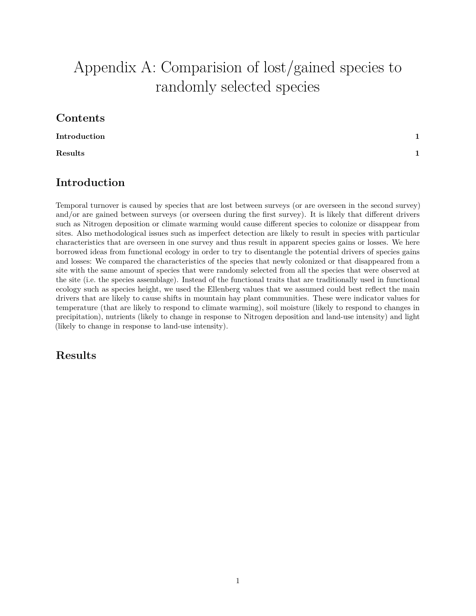## Appendix A: Comparision of lost/gained species to randomly selected species

## **Contents**

**[Introduction](#page-0-0) 1**

**[Results](#page-0-1) 1**

## <span id="page-0-0"></span>**Introduction**

Temporal turnover is caused by species that are lost between surveys (or are overseen in the second survey) and/or are gained between surveys (or overseen during the first survey). It is likely that different drivers such as Nitrogen deposition or climate warming would cause different species to colonize or disappear from sites. Also methodological issues such as imperfect detection are likely to result in species with particular characteristics that are overseen in one survey and thus result in apparent species gains or losses. We here borrowed ideas from functional ecology in order to try to disentangle the potential drivers of species gains and losses: We compared the characteristics of the species that newly colonized or that disappeared from a site with the same amount of species that were randomly selected from all the species that were observed at the site (i.e. the species assemblage). Instead of the functional traits that are traditionally used in functional ecology such as species height, we used the Ellenberg values that we assumed could best reflect the main drivers that are likely to cause shifts in mountain hay plant communities. These were indicator values for temperature (that are likely to respond to climate warming), soil moisture (likely to respond to changes in precipitation), nutrients (likely to change in response to Nitrogen deposition and land-use intensity) and light (likely to change in response to land-use intensity).

## <span id="page-0-1"></span>**Results**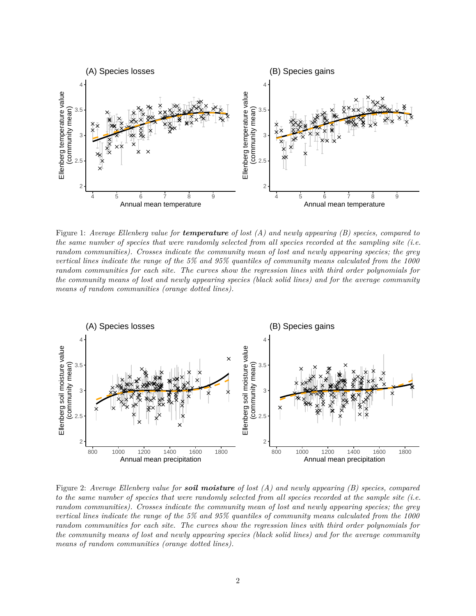

Figure 1: *Average Ellenberg value for temperature of lost (A) and newly appearing (B) species, compared to the same number of species that were randomly selected from all species recorded at the sampling site (i.e. random communities). Crosses indicate the community mean of lost and newly appearing species; the grey vertical lines indicate the range of the 5% and 95% quantiles of community means calculated from the 1000 random communities for each site. The curves show the regression lines with third order polynomials for the community means of lost and newly appearing species (black solid lines) and for the average community means of random communities (orange dotted lines).*



Figure 2: *Average Ellenberg value for soil moisture of lost (A) and newly appearing (B) species, compared to the same number of species that were randomly selected from all species recorded at the sample site (i.e. random communities). Crosses indicate the community mean of lost and newly appearing species; the grey vertical lines indicate the range of the 5% and 95% quantiles of community means calculated from the 1000 random communities for each site. The curves show the regression lines with third order polynomials for the community means of lost and newly appearing species (black solid lines) and for the average community means of random communities (orange dotted lines).*